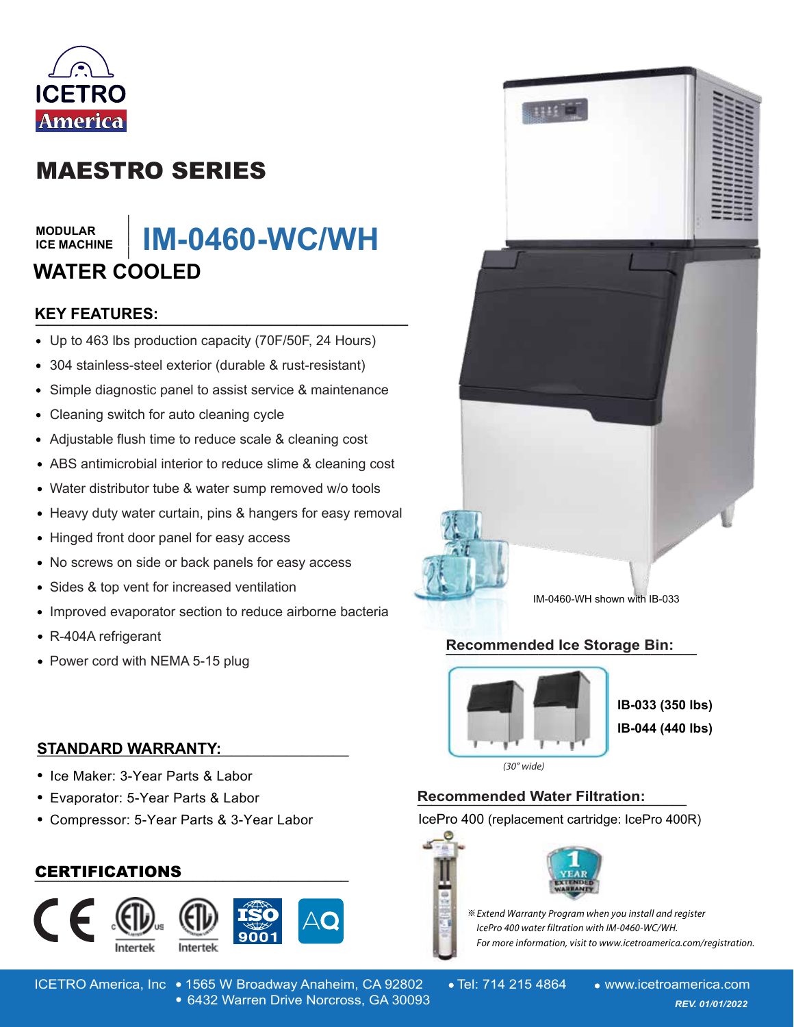

# MAESTRO SERIES

### **MODULAR ICE MACHINE**

# **\_\_\_\_\_\_\_ IM-0460-WC/WH WATER COOLED**

# **KEY FEATURES: \_\_\_\_\_\_\_\_\_\_\_\_\_\_\_\_\_\_\_\_\_\_\_\_\_\_\_\_\_\_**

- Up to 463 lbs production capacity (70F/50F, 24 Hours)
- 304 stainless-steel exterior (durable & rust-resistant)
- Simple diagnostic panel to assist service & maintenance  $\bullet$
- Cleaning switch for auto cleaning cycle
- Adjustable flush time to reduce scale & cleaning cost
- ABS antimicrobial interior to reduce slime & cleaning cost
- Water distributor tube & water sump removed w/o tools
- Heavy duty water curtain, pins & hangers for easy removal
- Hinged front door panel for easy access
- No screws on side or back panels for easy access

**STANDARD WARRANTY: \_\_\_\_\_\_\_\_\_\_\_\_\_\_\_\_\_\_\_\_\_\_\_\_\_\_\_\_\_\_\_\_\_\_\_\_\_\_\_\_**

**\_\_\_\_\_\_\_\_\_\_\_\_\_\_\_\_\_\_\_\_\_\_\_\_\_\_\_\_\_\_\_\_\_\_\_\_\_\_\_\_** CERTIFICATIONS

Compressor: 5-Year Parts & 3-Year Labor

- Sides & top vent for increased ventilation  $\bullet$
- Improved evaporator section to reduce airborne bacteria
- R-404A refrigerant
- Power cord with NEMA 5-15 plug

• Ice Maker: 3-Year Parts & Labor Evaporator: 5-Year Parts & Labor

# IM-0460-WH shown with IB-033

**Recommended Ice Storage Bin: \_\_\_\_\_\_\_\_\_\_\_\_\_\_\_\_\_\_\_\_\_\_\_\_\_\_\_\_\_\_\_\_\_\_\_\_\_\_**



**IB-033 (350 lbs) IB-044 (440 lbs)**

 $(30"$  wide)

# **Recommended Water Filtration: \_\_\_\_\_\_\_\_\_\_\_\_\_\_\_\_\_\_\_**

IcePro 400 (replacement cartridge: IcePro 400R)



For more information, visit to www.icetroamerica.com/registration.



ICETRO America, Inc • 1565 W Broadway Anaheim, CA 92802 • Tel: 714 215 4864 • www.icetroamerica.com 6432 Warren Drive Norcross, GA 30093 *REV. 01/01/2022* 6432 Warren Drive Norcross, GA 30093